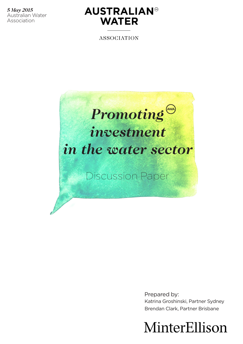*5 May 2015* Australian Water Association



**ASSOCIATION** 



Prepared by: Katrina Groshinski, Partner Sydney Brendan Clark, Partner Brisbane

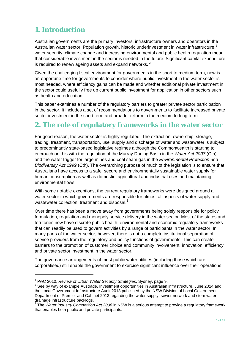# **1. Introduction**

Australian governments are the primary investors, infrastructure owners and operators in the Australian water sector. Population growth, historic underinvestment in water infrastructure,<sup>1</sup> water security, climate change and increasing environmental and public health regulation mean that considerable investment in the sector is needed in the future. Significant capital expenditure is required to renew ageing assets and expand networks.<sup>2</sup>

Given the challenging fiscal environment for governments in the short to medium term, now is an opportune time for governments to consider where public investment in the water sector is most needed, where efficiency gains can be made and whether additional private investment in the sector could usefully free up current public investment for application in other sectors such as health and education.

This paper examines a number of the regulatory barriers to greater private sector participation in the sector. It includes a set of recommendations to governments to facilitate increased private sector investment in the short term and broader reform in the medium to long term.

## **2. The role of regulatory frameworks in the water sector**

For good reason, the water sector is highly regulated. The extraction, ownership, storage, trading, treatment, transportation, use, supply and discharge of water and wastewater is subject to predominantly state-based legislative regimes although the Commonwealth is starting to encroach on this with the regulation of the Murray Darling Basin in the *Water Act 2007* (Cth), and the water trigger for large mines and coal seam gas in the *Environmental Protection and Biodiversity Act 1999* (Cth). The overarching purpose of much of the legislation is to ensure that Australians have access to a safe, secure and environmentally sustainable water supply for human consumption as well as domestic, agricultural and industrial uses and maintaining environmental flows.

With some notable exceptions, the current regulatory frameworks were designed around a water sector in which governments are responsible for almost all aspects of water supply and wastewater collection, treatment and disposal.<sup>3</sup>

Over time there has been a move away from governments being solely responsible for policy formulation, regulation and monopoly service delivery in the water sector. Most of the states and territories now have discrete public health, environmental and economic regulatory frameworks that can readily be used to govern activities by a range of participants in the water sector. In many parts of the water sector, however, there is not a complete institutional separation of service providers from the regulatory and policy functions of governments. This can create barriers to the promotion of customer choice and community involvement, innovation, efficiency and private sector investment in the water sector.

The governance arrangements of most public water utilities (including those which are corporatised) still enable the government to exercise significant influence over their operations,

<u> Andrew Maria (1989)</u>

<sup>&</sup>lt;sup>1</sup> PwC 2010, *Review of Urban Water Security Strategies*, Sydney, page 9.<br><sup>2</sup> See by way of avample Augtrade, Investment appartunities in Augtralian.

<sup>&</sup>lt;sup>2</sup> See by way of example Austrade, Investment opportunities in Australian infrastructure, June 2014 and the Local Government Infrastructure Audit 2013 published by the NSW Division of Local Government, Department of Premier and Cabinet 2013 regarding the water supply, sewer network and stormwater drainage infrastructure backlogs.

<sup>3</sup> The *Water Industry Competition Act 2006* in NSW is a serious attempt to provide a regulatory framework that enables both public and private participants.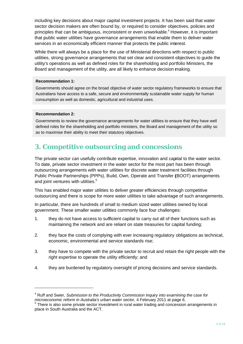including key decisions about maior capital investment projects. It has been said that water sector decision makers are often bound by, or required to consider objectives, policies and principles that can be ambiguous, inconsistent or even unworkable.<sup>4</sup> However, it is important that public water utilities have governance arrangements that enable them to deliver water services in an economically efficient manner that protects the public interest.

While there will always be a place for the use of Ministerial directions with respect to public utilities, strong governance arrangements that set clear and consistent objectives to guide the utility's operations as well as defined roles for the shareholding and portfolio Ministers, the Board and management of the utility, are all likely to enhance decision making.

### **Recommendation 1:**

Governments should agree on the broad objective of water sector regulatory frameworks to ensure that Australians have access to a safe, secure and environmentally sustainable water supply for human consumption as well as domestic, agricultural and industrial uses.

### **Recommendation 2:**

Governments to review the governance arrangements for water utilities to ensure that they have well defined roles for the shareholding and portfolio ministers, the Board and management of the utility so as to maximise their ability to meet their statutory objectives.

# 3. Competitive outsourcing and concessions

The private sector can usefully contribute expertise, innovation and capital to the water sector. To date, private sector investment in the water sector for the most part has been through outsourcing arrangements with water utilities for discrete water treatment facilities through Public Private Partnerships (PPPs), Build, Own, Operate and Transfer (BOOT) arrangements and joint ventures with utilities.<sup>5</sup>

This has enabled major water utilities to deliver greater efficiencies through competitive outsourcing and there is scope for more water utilities to take advantage of such arrangements.

In particular, there are hundreds of small to medium sized water utilities owned by local government. These smaller water utilities commonly face four challenges:

- $1<sub>1</sub>$ they do not have access to sufficient capital to carry out all of their functions such as maintaining the network and are reliant on state treasuries for capital funding:
- $2.$ they face the costs of complying with ever increasing regulatory obligations as technical, economic, environmental and service standards rise:
- 3. they have to compete with the private sector to recruit and retain the right people with the right expertise to operate the utility efficiently; and
- $\overline{4}$ . they are burdened by regulatory oversight of pricing decisions and service standards.

<sup>&</sup>lt;sup>4</sup> Ruff and Swier, Submission to the Productivity Commission Inquiry into examining the case for microeconomic reform in Australia's urban water sector, 4 February 2011 at page 6.<br><sup>5</sup> There is also some private sector investment in rural water trading and concession arrangements in

place in South Australia and the ACT.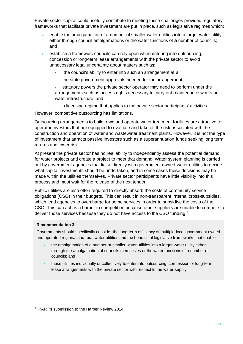Private sector capital could usefully contribute to meeting these challenges provided regulatory frameworks that facilitate private investment are put in place, such as legislative regimes which:

- enable the amalgamation of a number of smaller water utilities into a larger water utility either through council amalgamations or the water functions of a number of councils; and
- establish a framework councils can rely upon when entering into outsourcing. concession or long-term lease arrangements with the private sector to avoid unnecessary legal uncertainty about matters such as:
	- the council's ability to enter into such an arrangement at all;
	- the state government approvals needed for the arrangement;
	- statutory powers the private sector operator may need to perform under the arrangements such as access rights necessary to carry out maintenance works on water infrastructure; and
	- a licensing regime that applies to the private sector participants' activities.

However, competitive outsourcing has limitations.

Outsourcing arrangements to build, own and operate water treatment facilities are attractive to operator investors that are equipped to evaluate and take on the risk associated with the construction and operation of water and wastewater treatment plants. However, it is not the type of investment that attracts passive investors such as a superannuation funds seeking long term returns and lower risk.

At present the private sector has no real ability to independently assess the potential demand for water projects and create a project to meet that demand. Water system planning is carried out by government agencies that liaise directly with government owned water utilities to decide what capital investments should be undertaken, and in some cases these decisions may be made within the utilities themselves. Private sector participants have little visibility into this process and must wait for the release of the next tender.

Public utilities are also often required to directly absorb the costs of community service obligations (CSO) in their budgets. This can result in non-transparent internal cross-subsidies, which lead agencies to overcharge for some services in order to subsidise the costs of the CSO. This can act as a barrier to competition because other suppliers are unable to compete to deliver those services because they do not have access to the CSO funding.<sup>6</sup>

#### **Recommendation 3:**

Governments should specifically consider the long-term efficiency of multiple local government owned and operated regional and rural water utilities and the benefits of legislative frameworks that enable:

- the amalgamation of a number of smaller water utilities into a larger water utility either through the amalgamation of councils themselves or the water functions of a number of councils: and
- those utilities individually or collectively to enter into outsourcing, concession or long-term lease arrangements with the private sector with respect to the water supply.

<sup>&</sup>lt;sup>6</sup> IPART's submission to the Harper Review 2014.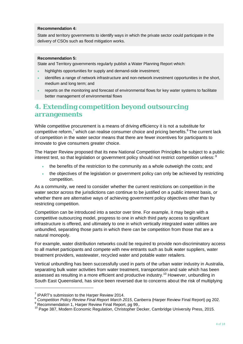### **Recommendation 4:**

State and territory governments to identify ways in which the private sector could participate in the delivery of CSOs such as flood mitigation works.

### **Recommendation 5:**

State and Territory governments regularly publish a Water Planning Report which:

- highlights opportunities for supply and demand-side investment;
- identifies a range of network infrastructure and non-network investment opportunities in the short, medium and long term; and
- reports on the monitoring and forecast of environmental flows for key water systems to facilitate better management of environmental flows

## 4. Extending competition beyond outsourcing arrangements

While competitive procurement is a means of driving efficiency it is not a substitute for competitive reform,<sup>7</sup> which can realise consumer choice and pricing benefits.<sup>8</sup> The current lack of competition in the water sector means that there are fewer incentives for participants to innovate to give consumers greater choice.

The Harper Review proposed that its new National Competition Principles be subject to a public interest test, so that legislation or government policy should not restrict competition unless: <sup>9</sup>

- the benefits of the restriction to the community as a whole outweigh the costs; and
- the objectives of the legislation or government policy can only be achieved by restricting competition.

As a community, we need to consider whether the current restrictions on competition in the water sector across the jurisdictions can continue to be justified on a public interest basis, or whether there are alternative ways of achieving government policy objectives other than by restricting competition.

Competition can be introduced into a sector over time. For example, it may begin with a competitive outsourcing model, progress to one in which third party access to significant infrastructure is offered, and ultimately to one in which vertically integrated water utilities are unbundled, separating those parts in which there can be competition from those that are a natural monopoly.

For example, water distribution networks could be required to provide non-discriminatory access to all market participants and compete with new entrants such as bulk water suppliers, water treatment providers, wastewater, recycled water and potable water retailers.

Vertical unbundling has been successfully used in parts of the urban water industry in Australia. separating bulk water activities from water treatment, transportation and sale which has been assessed as resulting in a more efficient and productive industry.<sup>10</sup> However, unbundling in South East Queensland, has since been reversed due to concerns about the risk of multiplying

<sup>&</sup>lt;sup>7</sup> IPART's submission to the Harper Review 2014.

<sup>&</sup>lt;sup>8</sup> Competition Policy Review Final Report March 2015, Canberra (Harper Review Final Report) pg 202.

<sup>&</sup>lt;sup>9</sup> Recommendation 1, Harper Review Final Report, pg 99,.

<sup>&</sup>lt;sup>10</sup> Page 387. Modern Economic Regulation, Christopher Decker, Cambridge University Press, 2015.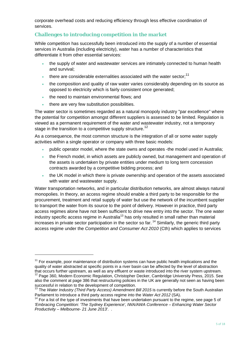corporate overhead costs and reducing efficiency through less effective coordination of services.

## **Challenges to introducing competition in the market**

While competition has successfully been introduced into the supply of a number of essential services in Australia (including electricity), water has a number of characteristics that differentiate it from other essential services:

- the supply of water and wastewater services are intimately connected to human health and survival;
- there are considerable externalities associated with the water sector: $11$
- the composition and quality of raw water varies considerably depending on its source as opposed to electricity which is fairly consistent once generated;
- the need to maintain environmental flows; and
- there are very few substitution possibilities.

<u> Andrew Maria (1989)</u>

The water sector is sometimes regarded as a natural monopoly industry "par excellence" where the potential for competition amongst different suppliers is assessed to be limited. Regulation is viewed as a permanent requirement of the water and wastewater industry, not a temporary stage in the transition to a competitive supply structure.<sup>12</sup>

As a consequence, the most common structure is the integration of all or some water supply activities within a single operator or company with three basic models:

- public operator model, where the state owns and operates -the model used in Australia;
- the French model, in which assets are publicly owned, but management and operation of the assets is undertaken by private entities under medium to long term concession contracts awarded by a competitive bidding process; and
- the UK model in which there is private ownership and operation of the assets associated with water and wastewater supply.

Water transportation networks, and in particular distribution networks, are almost always natural monopolies. In theory, an access regime should enable a third party to be responsible for the procurement, treatment and retail supply of water but use the network of the incumbent supplier to transport the water from its source to the point of delivery. However in practice, third party access regimes alone have not been sufficient to drive new entry into the sector. The one water industry specific access regime in Australia<sup>13</sup> has only resulted in small rather than material increases in private sector participation in the sector so far.<sup>14</sup> Similarly, the generic third party access regime under the *Competition and Consumer Act 2010* (Cth) which applies to services

 $11$  For example, poor maintenance of distribution systems can have public health implications and the quality of water abstracted at specific points in a river basin can be affected by the level of abstraction<br>that occurs further upstream, as well as any effluent or waste introduced into the river system upstream.

<sup>&</sup>lt;sup>12</sup> Page 360, Modern Economic Regulation, Christopher Decker, Cambridge University Press, 2015. See also the comment at page 386 that restructuring policies in the UK are generally not seen as having been<br>successful in relation to the development of competition.

<sup>&</sup>lt;sup>13</sup> The *Water Industry (Third Party Access) Amendment Bill 2015* is currently before the South Australian Parliament to introduce a third party access regime into the *Water Act 2012* (SA).<br><sup>14</sup> For a list of the type of investments that have been undertaken pursuant to the regime, see page 5 of

*<sup>&#</sup>x27;Embracing Competition: 'The Sydney Experience', IWA/AWA Conference – Enhancing Water Sector Productivity – Melbourne- 21 June 2013'*. .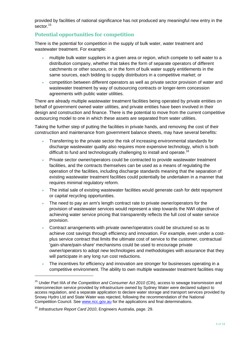provided by facilities of national significance has not produced any meaningful new entry in the sector.<sup>15</sup>

### **Potential opportunities for competition**

There is the potential for competition in the supply of bulk water, water treatment and wastewater treatment. For example:

- multiple bulk water suppliers in a given area or region, which compete to sell water to a distribution company, whether that takes the form of separate operators of different catchments or other sources, or in the form of bulk water supply entitlements in the same sources, each bidding to supply distributors in a competitive market; or
- competition between different operators as well as private sector provision of water and wastewater treatment by way of outsourcing contracts or longer-term concession agreements with public water utilities.

There are already multiple wastewater treatment facilities being operated by private entities on behalf of government owned water utilities, and private entities have been involved in their design and construction and finance. There is the potential to move from the current competitive outsourcing model to one in which these assets are separated from water utilities.

Taking the further step of putting the facilities in private hands, and removing the cost of their construction and maintenance from government balance sheets, may have several benefits:

- Transferring to the private sector the risk of increasing environmental standards for discharge wastewater quality also requires more expensive technology, which is both difficult to fund and technologically challenging to install and operate.<sup>16</sup>
- Private sector owner/operators could be contracted to provide wastewater treatment facilities, and the contracts themselves can be used as a means of regulating the operation of the facilities, including discharge standards meaning that the separation of existing wastewater treatment facilities could potentially be undertaken in a manner that requires minimal regulatory reform.
- The initial sale of existing wastewater facilities would generate cash for debt repayment or capital recycling opportunities.
- The need to pay an arm's length contract rate to private owner/operators for the provision of wastewater services would represent a step towards the NWI objective of achieving water service pricing that transparently reflects the full cost of water service provision.
- Contract arrangements with private owner/operators could be structured so as to achieve cost savings through efficiency and innovation. For example, even under a costplus service contract that limits the ultimate cost of service to the customer, contractual 'gain-share/pain-share' mechanisms could be used to encourage private owner/operators to adopt new technologies and methodologies with assurance that they will participate in any long run cost reductions.
- The incentives for efficiency and innovation are stronger for businesses operating in a competitive environment. The ability to own multiple wastewater treatment facilities may

<u> Andrew Maria (1989)</u>

<sup>15</sup> Under Part IIIA of *the Competition and Consumer Act 2010* (Cth), access to sewage transmission and interconnection service provided by infrastructure owned by Sydney Water were declared subject to access regulation, and a separate application to declare water storage and transport services provided by Snowy Hydro Ltd and State Water was rejected, following the recommendation of the National Competition Council. See www.ncc.gov.au for the applications and final determinations.

<sup>16</sup> *Infrastructure Report Card 2010*, Engineers Australia, page. 29.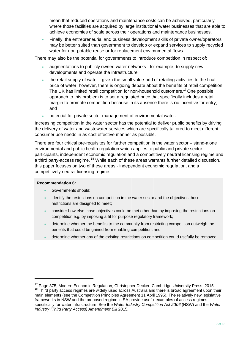mean that reduced operations and maintenance costs can be achieved, particularly where those facilities are acquired by large institutional water businesses that are able to achieve economies of scale across their operations and maintenance businesses.

Finally, the entrepreneurial and business development skills of private owner/operators may be better suited than government to develop or expand services to supply recycled water for non-potable reuse or for replacement environmental flows.

There may also be the potential for governments to introduce competition in respect of:

- augmentations to publicly owned water networks for example, to supply new developments and operate the infrastructure;
- the retail supply of water given the small value-add of retailing activities to the final price of water, however, there is ongoing debate about the benefits of retail competition. The UK has limited retail competition for non-household customers.<sup>17</sup> One possible approach to this problem is to set a regulated price that specifically includes a retail margin to promote competition because in its absence there is no incentive for entry; and
- potential for private sector management of environmental water.

Increasing competition in the water sector has the potential to deliver public benefits by driving the delivery of water and wastewater services which are specifically tailored to meet different consumer use needs in as cost effective manner as possible.

There are four critical pre-requisites for further competition in the water sector – stand-alone environmental and public health regulation which applies to public and private sector participants, independent economic regulation and a competitively neutral licensing regime and a third party-access regime.<sup>18</sup> While each of these areas warrants further detailed discussion. this paper focuses on two of these areas - independent economic regulation, and a competitively neutral licensing regime.

### **Recommendation 6:**

- Governments should:
- identify the restrictions on competition in the water sector and the objectives those restrictions are designed to meet;
- consider how else those objectives could be met other than by imposing the restrictions on competition e.g. by imposing a fit for purpose regulatory framework;
- determine whether the benefits to the community from restricting competition outweigh the benefits that could be gained from enabling competition; and
- determine whether any of the existing restrictions on competition could usefully be removed.

<sup>&</sup>lt;sup>17</sup> Page 375, Modern Economic Regulation, Christopher Decker, Cambridge University Press, 2015. . <sup>18</sup> Third party access regimes are widely used across Australia and there is broad agreement upon their main elements (see the Competition Principles Agreement 11 April 1995). The relatively new legislative frameworks in NSW and the proposed regime in SA provide useful examples of access regimes specifically for water infrastructure. See the Water Industry Competition Act 2006 (NSW) and the Water Industry (Third Party Access) Amendment Bill 2015.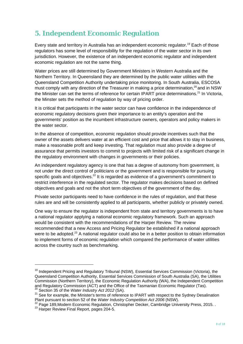# **5. Independent Economic Regulation**

Every state and territory in Australia has an independent economic regulator.<sup>19</sup> Each of those regulators has some level of responsibility for the regulation of the water sector in its own jurisdiction. However, the existence of an independent economic regulator and independent economic regulation are not the same thing.

Water prices are still determined by Government Ministers in Western Australia and the Northern Territory. In Queensland they are determined by the public water utilities with the Queensland Competition Authority undertaking price monitoring. In South Australia, ESCOSA must comply with any direction of the Treasurer in making a price determination.<sup>20</sup> and in NSW the Minister can set the terms of reference for certain IPART price determinations.<sup>21</sup> In Victoria, the Minster sets the method of regulation by way of pricing order.

It is critical that participants in the water sector can have confidence in the independence of economic regulatory decisions given their importance to an entity's operation and the governments' position as the incumbent infrastructure owners, operators and policy makers in the water sector.

In the absence of competition, economic regulation should provide incentives such that the owner of the assets delivers water at an efficient cost and price that allows it to stay in business, make a reasonable profit and keep investing. That regulation must also provide a degree of assurance that permits investors to commit to projects with limited risk of a significant change in the regulatory environment with changes in governments or their policies.

An independent regulatory agency is one that has a degree of autonomy from government, is not under the direct control of politicians or the government and is responsible for pursuing specific goals and objectives.<sup>22</sup> It is regarded as evidence of a government's commitment to restrict interference in the regulated sector. The regulator makes decisions based on defined objectives and goals and not the short term objectives of the government of the day.

Private sector participants need to have confidence in the rules of regulation, and that these rules are and will be consistently applied to all participants, whether publicly or privately owned.

One way to ensure the regulator is independent from state and territory governments is to have a national regulator applying a national economic regulatory framework. Such an approach would be consistent with the recommendations of the Harper Review. The review recommended that a new Access and Pricing Regulator be established if a national approach were to be adopted.<sup>23</sup> A national regulator could also be in a better position to obtain information to implement forms of economic regulation which compared the performance of water utilities across the country such as benchmarking.

<u> Andrew Maria (1989)</u>

Plant pursuant to section 52 of the Water Industry Competition Act 2006 (NSW).<br><sup>22</sup> Page 189, Modern Economic Regulation, Christopher Decker, Cambridge University Press, 2015...<br><sup>23</sup> Harper Review Final Report, pages 204-5

<sup>&</sup>lt;sup>19</sup> Independent Pricing and Regulatory Tribunal (NSW), Essential Services Commission (Victoria), the Queensland Competition Authority, Essential Services Commission of South Australia (SA), the Utilities Commission (Northern Territory), the Economic Regulation Authority (WA), the Independent Competition and Regulatory Commission (ACT) and the Office of the Tasmanian Economic Regulator (Tas).<br><sup>20</sup> Section 35 of the Water Industry Act 2012 (SA).

<sup>&</sup>lt;sup>21</sup> See for example, the Minister's terms of reference to IPART with respect to the Sydney Desalination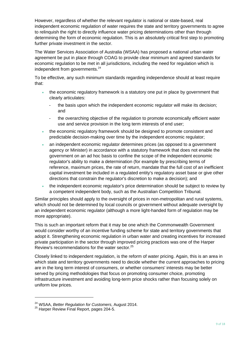However, regardless of whether the relevant regulator is national or state-based, real independent economic regulation of water requires the state and territory governments to agree to relinquish the right to directly influence water pricing determinations other than through determining the form of economic regulation. This is an absolutely critical first step to promoting further private investment in the sector.

The Water Services Association of Australia (WSAA) has proposed a national urban water agreement be put in place through COAG to provide clear minimum and agreed standards for economic regulation to be met in all jurisdictions, including the need for regulation which is independent from governments.<sup>24</sup>

To be effective, any such minimum standards regarding independence should at least require that:

- the economic regulatory framework is a statutory one put in place by government that clearly articulates:
	- the basis upon which the independent economic regulator will make its decision; and
	- the overarching objective of the regulation to promote economically efficient water use and service provision in the long term interests of end user;
- the economic regulatory framework should be designed to promote consistent and predictable decision-making over time by the independent economic regulator;
- an independent economic regulator determines prices (as opposed to a government agency or Minister) in accordance with a statutory framework that does not enable the government on an ad hoc basis to confine the scope of the independent economic regulator's ability to make a determination (for example by prescribing terms of reference, maximum prices, the rate of return, mandate that the full cost of an inefficient capital investment be included in a regulated entity's regulatory asset base or give other directions that constrain the regulator's discretion to make a decision); and
- the independent economic regulator's price determination should be subject to review by a competent independent body, such as the Australian Competition Tribunal.

Similar principles should apply to the oversight of prices in non-metropolitan and rural systems, which should not be determined by local councils or government without adequate oversight by an independent economic regulator (although a more light-handed form of regulation may be more appropriate).

This is such an important reform that it may be one which the Commonwealth Government would consider worthy of an incentive funding scheme for state and territory governments that adopt it. Strengthening economic regulation in urban water and creating incentives for increased private participation in the sector through improved pricing practices was one of the Harper Review's recommendations for the water sector.<sup>25</sup>

Closely linked to independent regulation, is the reform of water pricing. Again, this is an area in which state and territory governments need to decide whether the current approaches to pricing are in the long term interest of consumers, or whether consumers' interests may be better served by pricing methodologies that focus on promoting consumer choice, promoting infrastructure investment and avoiding long-term price shocks rather than focusing solely on uniform low prices.

<u> Andrew Maria (1989)</u>

<sup>&</sup>lt;sup>24</sup> WSAA, *Better Regulation for Customers*, August 2014.<br><sup>25</sup> Harper Review Final Report, pages 204-5.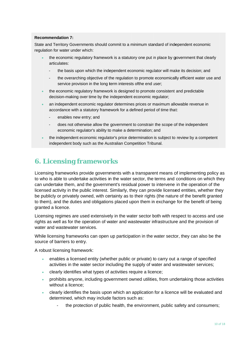### **Recommendation 7:**

State and Territory Governments should commit to a minimum standard of independent economic regulation for water under which:

- the economic regulatory framework is a statutory one put in place by government that clearly articulates:
	- the basis upon which the independent economic regulator will make its decision; and
	- the overarching objective of the regulation to promote economically efficient water use and service provision in the long term interests of the end user:
- the economic regulatory framework is designed to promote consistent and predictable decision-making over time by the independent economic regulator;
- an independent economic regulator determines prices or maximum allowable revenue in accordance with a statutory framework for a defined period of time that:
	- enables new entry; and
	- does not otherwise allow the government to constrain the scope of the independent economic regulator's ability to make a determination; and
- the independent economic regulator's price determination is subject to review by a competent independent body such as the Australian Competition Tribunal.

# **6. Licensing frameworks**

Licensing frameworks provide governments with a transparent means of implementing policy as to who is able to undertake activities in the water sector, the terms and conditions on which they can undertake them, and the government's residual power to intervene in the operation of the licensed activity in the public interest. Similarly, they can provide licensed entities, whether they be publicly or privately owned, with certainty as to their rights (the nature of the benefit granted to them), and the duties and obligations placed upon them in exchange for the benefit of being granted a licence.

Licensing regimes are used extensively in the water sector both with respect to access and use rights as well as for the operation of water and wastewater infrastructure and the provision of water and wastewater services.

While licensing frameworks can open up participation in the water sector, they can also be the source of barriers to entry.

A robust licensing framework:

- enables a licensed entity (whether public or private) to carry out a range of specified activities in the water sector including the supply of water and wastewater services;
- clearly identifies what types of activities require a licence;
- prohibits anyone, including government owned utilities, from undertaking those activities without a licence:
- clearly identifies the basis upon which an application for a licence will be evaluated and determined, which may include factors such as:
	- the protection of public health, the environment, public safety and consumers;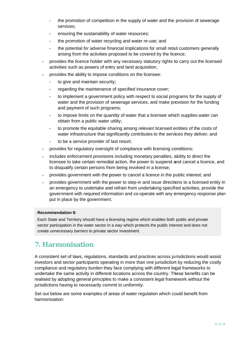- the promotion of competition in the supply of water and the provision of sewerage  $\overline{a}$ services:
- ensuring the sustainability of water resources;  $\overline{a}$
- the promotion of water recycling and water re-use; and  $\overline{a}$
- the potential for adverse financial implications for small retail customers generally  $\overline{a}$ arising from the activities proposed to be covered by the licence;
- provides the licence holder with any necessary statutory rights to carry out the licensed activities such as powers of entry and land acquisition;
- provides the ability to impose conditions on the licensee:
	- to give and maintain security;  $\mathbf{r}$
	- regarding the maintenance of specified insurance cover:  $\overline{a}$
	- to implement a government policy with respect to social programs for the supply of water and the provision of sewerage services, and make provision for the funding and payment of such programs;
	- to impose limits on the quantity of water that a licensee which supplies water can  $\sim$ obtain from a public water utility;
	- to promote the equitable sharing among relevant licensed entities of the costs of water infrastructure that significantly contributes to the services they deliver; and
	- to be a service provider of last resort;  $\mathbb{Z}^2$
- provides for regulatory oversight of compliance with licensing conditions;
- includes enforcement provisions including monetary penalties, ability to direct the licensee to take certain remedial action, the power to suspend and cancel a licence, and to disqualify certain persons from being involved in a license;
- provides government with the power to cancel a licence in the public interest; and
- provides government with the power to step-in and issue directions to a licensed entity in an emergency to undertake and refrain from undertaking specified activities, provide the government with required information and co-operate with any emergency response plan put in place by the government.

### **Recommendation 8:**

Each State and Territory should have a licensing regime which enables both public and private sector participation in the water sector in a way which protects the public interest and does not create unnecessary barriers to private sector investment.

## **7. Harmonisation**

A consistent set of laws, regulations, standards and practices across jurisdictions would assist investors and sector participants operating in more than one jurisdiction by reducing the costly compliance and regulatory burden they face complying with different legal frameworks to undertake the same activity in different locations across the country. These benefits can be realised by adopting general principles to make a consistent legal framework without the jurisdictions having to necessarily commit to uniformity.

Set out below are some examples of areas of water regulation which could benefit from harmonisation: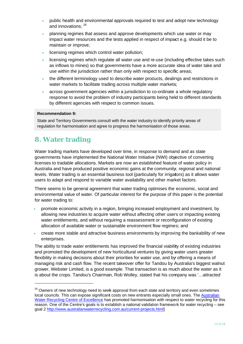- public health and environmental approvals required to test and adopt new technology and innovations: 26
- planning regimes that assess and approve developments which use water or may impact water resources and the tests applied in respect of impact e.g. should it be to maintain or improve:
- licensing regimes which control water pollution:
- licensing regimes which regulate all water use and re-use (including effective takes such as inflows to mines) so that governments have a more accurate idea of water take and use within the jurisdiction rather than only with respect to specific areas;
- the different terminology used to describe water products, dealings and restrictions in water markets to facilitate trading across multiple water markets:
- across government agencies within a jurisdiction to co-ordinate a whole regulatory response to avoid the problem of industry participants being held to different standards by different agencies with respect to common issues.

### **Recommendation 9:**

State and Territory Governments consult with the water industry to identify priority areas of regulation for harmonisation and agree to progress the harmonisation of those areas.

# **8. Water trading**

Water trading markets have developed over time, in response to demand and as state governments have implemented the National Water Initiative (NWI) objective of converting licenses to tradable allocations. Markets are now an established feature of water policy in Australia and have produced positive economic gains at the community, regional and national levels. Water trading is an essential business tool (particularly for irrigators) as it allows water users to adapt and respond to variable water availability and other market factors.

There seems to be general agreement that water trading optimises the economic, social and environmental value of water. Of particular interest for the purpose of this paper is the potential for water trading to:

- promote economic activity in a region, bringing increased employment and investment, by allowing new industries to acquire water without affecting other users or impacting existing water entitlements, and without requiring a reassessment or reconfiguration of existing allocation of available water or sustainable environment flow regimes: and
- create more stable and attractive business environments by improving the bankability of new enterprises.

The ability to trade water entitlements has improved the financial viability of existing industries and promoted the development of new horticultural ventures by giving water users greater flexibility in making decisions about their priorities for water use, and by offering a means of managing risk and cash flow. The recent takeover offer for Tandou by Australia's biggest walnut grower, Webster Limited, is a good example. That transaction is as much about the water as it is about the crops. Tandou's Chairman, Rob Wolley, stated that his company was '...attracted

<sup>&</sup>lt;sup>26</sup> Owners of new technology need to seek approval from each state and territory and even sometimes local councils. This can expose significant costs on new entrants especially small ones. The Australian Water Recycling Centre of Excellence has promoted harmonisation with respect to water recycling for this reason. One of the Centre's goals is to establish a national validation framework for water recycling - see goal 2 http://www.australianwaterrecycling.com.au/current-projects.html]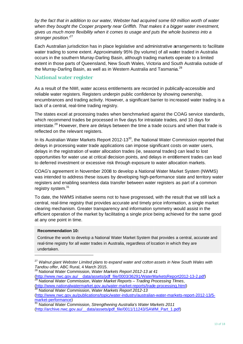by the fact that in addition to our water. Webster had acquired some 60 million worth of water when they bought the Cooper property near Griffith. That makes it a bigger water investment, gives us much more flexibility when it comes to usage and puts the whole business into a stronger position.<sup>27</sup>

Each Australian jurisdiction has in place legislative and administrative arrangements to facilitate water trading to some extent. Approximately 95% (by volume) of all water traded in Australia occurs in the southern Murray-Darling Basin, although trading markets operate to a limited extent in those parts of Queensland, New South Wales, Victoria and South Australia outside of the Murray-Darling Basin, as well as in Western Australia and Tasmania.<sup>28</sup>

### **National water register**

As a result of the NWI, water access entitlements are recorded in publically-accessible and reliable water registers. Registers underpin public confidence by showing ownership. encumbrances and trading activity. However, a significant barrier to increased water trading is a lack of a central, real-time trading registry.

The states excel at processing trades when benchmarked against the COAG service standards, which recommend trades be processed in five days for intrastate trades, and 10 days for interstate.<sup>29</sup> However, there are delays between the time a trade occurs and when that trade is reflected on the relevant registers.

In its Australian Water Markets Report 2012-13<sup>30</sup>, the National Water Commission reported that delays in processing water trade applications can impose significant costs on water users. delays in the registration of water allocation trades (ie, seasonal trades) can lead to lost opportunities for water use at critical decision points, and delays in entitlement trades can lead to deferred investment or excessive risk through exposure to water allocation markets.

COAG's agreement in November 2008 to develop a National Water Market System (NWMS) was intended to address these issues by developing high-performance state and territory water registers and enabling seamless data transfer between water registers as part of a common registry system.<sup>31</sup>

To date, the NWMS initiative seems not to have progressed, with the result that we still lack a central, real-time registry that provides accurate and timely price information, a single market clearing mechanism. Greater transparency and information symmetry would assist in the efficient operation of the market by facilitating a single price being achieved for the same good at any one point in time.

### **Recommendation 10:**

Continue the work to develop a National Water Market System that provides a central, accurate and real-time registry for all water trades in Australia, regardless of location in which they are undertaken.

<sup>&</sup>lt;sup>27</sup> Walnut giant Webster Limited plans to expand water and cotton assets in New South Wales with Tandou offer. ABC Rural, 4 March 2015.

<sup>&</sup>lt;sup>28</sup> National Water Commission, Water Markets Report 2012-13 at 41 (http://www.nwc.gov.au/\_\_data/assets/pdf\_file/0003/36291/WaterMarketsReport2012-13-2.pdf)<br><sup>29</sup> National Water Commission, Water Market Reports – Trading Processing Times, (http://www.nationalwatermarket.gov.au/water-market-reports/trade-processing.html)

National Water Commission, Water Markets Report 2012-13 (http://www.nwc.gov.au/publications/topic/water-industry/australian-water-markets-report-2012-13/5market-performance)

National Water Commission, Strengthening Australia's Water Markets 2011 (http://archive.nwc.gov.au/ data/assets/pdf file/0011/11243/SAWM Part 1.pdf)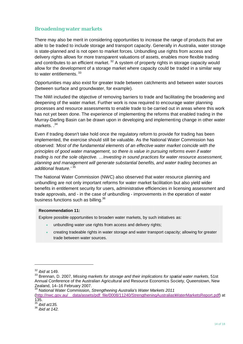### **Broadening water markets**

There may also be merit in considering opportunities to increase the range of products that are able to be traded to include storage and transport capacity. Generally in Australia, water storage is state-planned and is not open to market forces. Unbundling use rights from access and delivery rights allows for more transparent valuations of assets, enables more flexible trading and contributes to an efficient market.<sup>32</sup> A system of property rights in storage capacity would allow for the development of a storage market where capacity could be traded in a similar way to water entitlements. 33

Opportunities may also exist for greater trade between catchments and between water sources (between surface and groundwater, for example).

The NWI included the objective of removing barriers to trade and facilitating the broadening and deepening of the water market. Further work is now required to encourage water planning processes and resource assessments to enable trade to be carried out in areas where this work has not yet been done. The experience of implementing the reforms that enabled trading in the Murray-Darling Basin can be drawn upon in developing and implementing change in other water markets  $34$ 

Even if trading doesn't take hold once the regulatory reform to provide for trading has been implemented, the exercise should still be valuable. As the National Water Commission has observed: 'Most of the fundamental elements of an effective water market coincide with the principles of good water management, so there is value in pursuing reforms even if water trading is not the sole objective. ... Investing in sound practices for water resource assessment, planning and management will generate substantial benefits, and water trading becomes an additional feature.' 35

The National Water Commission (NWC) also observed that water resource planning and unbundling are not only important reforms for water market facilitation but also yield wider benefits in entitlement security for users, administrative efficiencies in licensing assessment and trade approvals, and - in the case of unbundling - improvements in the operation of water business functions such as billing.<sup>36</sup>

#### **Recommendation 11:**

Explore possible opportunities to broaden water markets, by such initiatives as:

- unbundling water use rights from access and delivery rights:
- creating tradeable rights in water storage and water transport capacity; allowing for greater trade between water sources.

(http://nwc.gov.au/ data/assets/pdf file/0008/11240/StrengtheningAustraliasWaterMarketsReport.pdf) at  $135.$ <sup>35</sup> *ibid at 135.* 

 $32$  ibid at 149.

<sup>33</sup> Brennan, D. 2007, Missing markets for storage and their implications for spatial water markets, 51st Annual Conference of the Australian Agricultural and Resource Economics Society, Queenstown, New Zealand, 14-16 February 2007.<br><sup>34</sup> National Water Commission, Strengthening Australia's Water Markets 2011

 $36$  ibid at 142.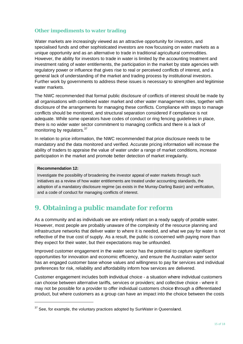### **Other impediments to water trading**

Water markets are increasingly viewed as an attractive opportunity for investors, and specialised funds and other sophisticated investors are now focussing on water markets as a unique opportunity and as an alternative to trade in traditional agricultural commodities. However, the ability for investors to trade in water is limited by the accounting treatment and investment rating of water entitlements, the participation in the market by state agencies with regulatory power or influence that gives rise to real or perceived conflicts of interest, and a general lack of understanding of the market and trading process by institutional investors. Further work by governments to address these issues is necessary to strengthen and legitimise water markets.

The NWC recommended that formal public disclosure of conflicts of interest should be made by all organisations with combined water market and other water management roles, together with disclosure of the arrangements for managing these conflicts. Compliance with steps to manage conflicts should be monitored, and structural separation considered if compliance is not adequate. While some operators have codes of conduct or ring fencing quidelines in place. there is no wider water sector commitment to managing conflicts and there is a lack of monitoring by regulators.<sup>37</sup>

In relation to price information, the NWC recommended that price disclosure needs to be mandatory and the data monitored and verified. Accurate pricing information will increase the ability of traders to appraise the value of water under a range of market conditions, increase participation in the market and promote better detection of market irreqularity.

### **Recommendation 12:**

Investigate the possibility of broadening the investor appeal of water markets through such initiatives as a review of how water entitlements are treated under accounting standards, the adoption of a mandatory disclosure regime (as exists in the Murray-Darling Basin) and verification, and a code of conduct for managing conflicts of interest.

## 9. Obtaining a public mandate for reform

As a community and as individuals we are entirely reliant on a ready supply of potable water. However, most people are probably unaware of the complexity of the resource planning and infrastructure networks that deliver water to where it is needed, and what we pay for water is not reflective of the true cost of supply. As a result, the public is concerned with paying more than they expect for their water, but their expectations may be unfounded.

Improved customer engagement in the water sector has the potential to capture significant opportunities for innovation and economic efficiency, and ensure the Australian water sector has an engaged customer base whose values and willingness to pay for services and individual preferences for risk, reliability and affordability inform how services are delivered.

Customer engagement includes both individual choice - a situation where individual customers can choose between alternative tariffs, services or providers; and collective choice - where it may not be possible for a provider to offer individual customers choice through a differentiated product, but where customers as a group can have an impact into the choice between the costs

 $37$  See, for example, the voluntary practices adopted by SunWater in Queensland.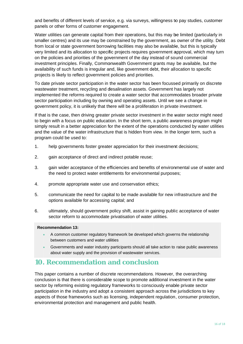and benefits of different levels of service, e.g. via surveys, willingness to pay studies, customer panels or other forms of customer engagement.

Water utilities can generate capital from their operations, but this may be limited (particularly in smaller centres) and its use may be constrained by the government, as owner of the utility. Debt from local or state government borrowing facilities may also be available, but this is typically very limited and its allocation to specific projects requires government approval, which may turn on the policies and priorities of the government of the day instead of sound commercial investment principles. Finally, Commonwealth Government grants may be available, but the availability of such funds is irregular and, like government debt, their allocation to specific projects is likely to reflect government policies and priorities.

To date private sector participation in the water sector has been focussed primarily on discrete wastewater treatment, recycling and desalination assets. Government has largely not implemented the reforms required to create a water sector that accommodates broader private sector participation including by owning and operating assets. Until we see a change in government policy, it is unlikely that there will be a proliferation in private investment.

If that is the case, then driving greater private sector investment in the water sector might need to begin with a focus on public education. In the short term, a public awareness program might simply result in a better appreciation for the extent of the operations conducted by water utilities and the value of the water infrastructure that is hidden from view. In the longer term, such a program could be used to:

- $1<sub>1</sub>$ help governments foster greater appreciation for their investment decisions;
- $2.$ gain acceptance of direct and indirect potable reuse;
- $\overline{3}$ . gain wider acceptance of the efficiencies and benefits of environmental use of water and the need to protect water entitlements for environmental purposes;
- 4. promote appropriate water use and conservation ethics;
- 5. communicate the need for capital to be made available for new infrastructure and the options available for accessing capital; and
- ultimately, should government policy shift, assist in gaining public acceptance of water 6. sector reform to accommodate privatisation of water utilities.

### **Recommendation 13:**

- A common customer regulatory framework be developed which governs the relationship between customers and water utilities
- Governments and water industry participants should all take action to raise public awareness about water supply and the provision of wastewater services.

## **10. Recommendation and conclusion**

This paper contains a number of discrete recommendations. However, the overarching conclusion is that there is considerable scope to promote additional investment in the water sector by reforming existing regulatory frameworks to consciously enable private sector participation in the industry and adopt a consistent approach across the jurisdictions to key aspects of those frameworks such as licensing, independent regulation, consumer protection, environmental protection and management and public health.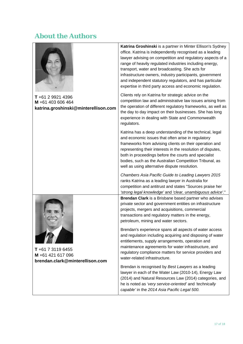# **About the Authors**

|                                                                                | Katrina Groshinski is a partner in Minter Ellison's Sydney<br>office. Katrina is independently recognised as a leading<br>lawyer advising on competition and regulatory aspects of a<br>range of heavily regulated industries including energy,<br>transport, water and broadcasting. She acts for<br>infrastructure owners, industry participants, government<br>and independent statutory regulators, and has particular<br>expertise in third party access and economic regulation. |
|--------------------------------------------------------------------------------|----------------------------------------------------------------------------------------------------------------------------------------------------------------------------------------------------------------------------------------------------------------------------------------------------------------------------------------------------------------------------------------------------------------------------------------------------------------------------------------|
| T +61 2 9921 4396<br>M +61 403 606 464<br>katrina.groshinski@minterellison.com | Clients rely on Katrina for strategic advice on the<br>competition law and administrative law issues arising from<br>the operation of different regulatory frameworks, as well as<br>the day to day impact on their businesses. She has long<br>experience in dealing with State and Commonwealth<br>regulators.                                                                                                                                                                       |
|                                                                                | Katrina has a deep understanding of the technical, legal<br>and economic issues that often arise in regulatory<br>frameworks from advising clients on their operation and<br>representing their interests in the resolution of disputes,<br>both in proceedings before the courts and specialist<br>bodies, such as the Australian Competition Tribunal, as<br>well as using alternative dispute resolution.                                                                           |
|                                                                                | Chambers Asia Pacific Guide to Leading Lawyers 2015<br>ranks Katrina as a leading lawyer in Australia for<br>competition and antitrust and states "Sources praise her<br>'strong legal knowledge' and 'clear, unambiguous advice'."                                                                                                                                                                                                                                                    |
| $T + 61731196455$<br>M +61 421 617 096<br>brendan.clark@minterellison.com      | Brendan Clark is a Brisbane based partner who advises<br>private sector and government entities on infrastructure<br>projects, mergers and acquisitions, commercial<br>transactions and regulatory matters in the energy,<br>petroleum, mining and water sectors.                                                                                                                                                                                                                      |
|                                                                                | Brendan's experience spans all aspects of water access<br>and regulation including acquiring and disposing of water<br>entitlements, supply arrangements, operation and<br>maintenance agreements for water infrastructure, and<br>regulatory compliance matters for service providers and<br>water-related infrastructure.                                                                                                                                                            |
|                                                                                | Brendan is recognised by Best Lawyers as a leading<br>lawyer in each of the Water Law (2010-14), Energy Law<br>(2014) and Natural Resources Law (2014) categories, and<br>he is noted as 'very service-oriented' and 'technically<br>capable' in the 2014 Asia Pacific Legal 500.                                                                                                                                                                                                      |